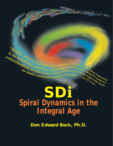*Exiefly, what I am proposing is*<br>
ubordination & emergent, oscill<br>
as max of older, lower be  $\begin{array}{c} \boldsymbol{s}_{\textit{right}} \\ \boldsymbol{s}_{\textit{q}} \\ \boldsymbol{s}_{\textit{u}} \\ \boldsymbol{b}_{\textit{o},\textit{right}} \\ \boldsymbol{s}_{\textit{u}} \\ \boldsymbol{s}_{\textit{u}} \\ \boldsymbol{s}_{\textit{u}} \\ \boldsymbol{s}_{\textit{u}} \\ \boldsymbol{s}_{\textit{u}} \\ \boldsymbol{s}_{\textit{u}} \\ \boldsymbol{s}_{\textit{u}} \\ \boldsymbol{s}_{\textit{u}} \\ \boldsymbol{s}_{\textit{u}} \\ \boldsymbol{s}_{\textit{u}} \\ \boldsymbol{s}_{\textit{u}} \\ \boldsymbol{s}_{\textit{u}} \\ \boldsymbol{s}_{\textit{u}} \\ \bold$ Case in a the human being<br>ther, higher by progressing hology of the mature human being<br>is to newer, higher by progressive<br>ie." - Clare Weber order systems

## **SD***i Spiral Dynamics in the Integral Age*

**Don Edward Beck, Ph.D.**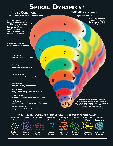## **SPIRAL DYNAMICS\***

| <b>LIFE CONDITIONS</b>                                                                                                                                                                                  | <b>YMEME CAPACITIES</b>                                                                                                                           |
|---------------------------------------------------------------------------------------------------------------------------------------------------------------------------------------------------------|---------------------------------------------------------------------------------------------------------------------------------------------------|
| Times, Place, Problems, Circumstances                                                                                                                                                                   | <b>Systems - within</b>                                                                                                                           |
| A 'MEME ("vee-meem")<br>is a core value system, a<br>world view, an organizing<br>principle that permeates<br>thought structures,<br>decision-making<br>systems, and various<br>expressions of culture. | <b>Previously dominant</b><br>systems fade into the<br>Spiral as new 'MEMEs<br>emerge to prominence.<br>9                                         |
| <b>Awakened 'MEMEs</b><br><b>Core Adaptive Intelligences</b>                                                                                                                                            | 8<br><u>iu</u>                                                                                                                                    |
| Н<br><b>WholeView</b><br>synergize & macromanage                                                                                                                                                        |                                                                                                                                                   |
| G<br>FlexFlow ______<br>integrate & align systems<br>F                                                                                                                                                  | 6                                                                                                                                                 |
| <b>HumanBond</b><br>explore inner self, equalize others                                                                                                                                                 | 5                                                                                                                                                 |
| <b>StriveDrive _</b><br>analyze & strategize to prosper                                                                                                                                                 | 4<br>D                                                                                                                                            |
| TruthForce.<br>find purpose, bring order, insure future                                                                                                                                                 | 3                                                                                                                                                 |
| PowerGods<br>express impulsively, break free, be strong                                                                                                                                                 | *For more details, see SPIRAL DYNAMICS:                                                                                                           |
| <b>KinSpirits</b><br>seek harmony & safety in a mysterious world                                                                                                                                        | Master Values, Leadership, and Change by<br>Don Beck and Chris Cowan, ISBN 1 55786 940 5.<br>Hardback available from NVC or Blackwell Publishers. |
| <b>SurvivalSense</b><br>sharpen instincts & innate senses                                                                                                                                               | 238 Main St., Cambridge, MA 02142<br>U.S. (800) 216-2522 or U.K. 44 (0) 1865 382308                                                               |

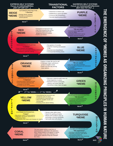

**THE EMERGENCE OF MEMES AS ORGANIZING EMERGENCE OF "MEMES AS ORGANIZING PRINCIPLES IN PRINCIPLES IN HUMAN NATURE**